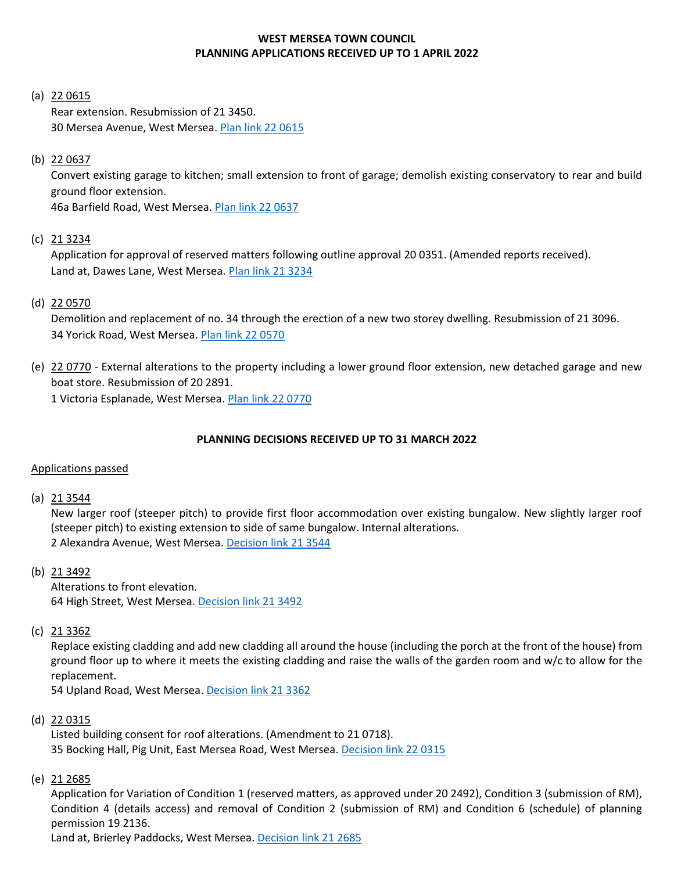## **WEST MERSEA TOWN COUNCIL PLANNING APPLICATIONS RECEIVED UP TO 1 APRIL 2022**

#### (a) 22 0615

Rear extension. Resubmission of 21 3450. 30 Mersea Avenue, West Mersea. [Plan link 22 0615](https://www.colchester.gov.uk/wampd/?id=220615)

## (b) 22 0637

Convert existing garage to kitchen; small extension to front of garage; demolish existing conservatory to rear and build ground floor extension.

46a Barfield Road, West Mersea. [Plan link 22 0637](https://www.colchester.gov.uk/planning-app-details/?id=629c45bb-b0a6-ec11-983f-000d3a65b39f#ValidationSummaryEntityFormView)

## (c) 21 3234

Application for approval of reserved matters following outline approval 20 0351. (Amended reports received). Land at, Dawes Lane, West Mersea. [Plan link 21 3234](https://www.colchester.gov.uk/wampd/?id=213234)

### (d) 22 0570

Demolition and replacement of no. 34 through the erection of a new two storey dwelling. Resubmission of 21 3096. 34 Yorick Road, West Mersea[. Plan link 22 0570](https://www.colchester.gov.uk/wampd/?id=220570)

(e) 22 0770 - External alterations to the property including a lower ground floor extension, new detached garage and new boat store. Resubmission of 20 2891.

1 Victoria Esplanade, West Mersea. Plan [link 22 0770](https://www.colchester.gov.uk/wampd/?id=220770)

## **PLANNING DECISIONS RECEIVED UP TO 31 MARCH 2022**

## Applications passed

(a) 21 3544

New larger roof (steeper pitch) to provide first floor accommodation over existing bungalow. New slightly larger roof (steeper pitch) to existing extension to side of same bungalow. Internal alterations. 2 Alexandra Avenue, West Mersea. [Decision link 21 3544](https://www.colchester.gov.uk/planning-app-details/?id=8e439406-dc6e-ec11-8943-000d3add62e0#ValidationSummaryEntityFormView)

(b) 21 3492

Alterations to front elevation. 64 High Street, West Mersea. [Decision link 21 3492](https://www.colchester.gov.uk/wampd/?id=213492)

#### (c) 21 3362

Replace existing cladding and add new cladding all around the house (including the porch at the front of the house) from ground floor up to where it meets the existing cladding and raise the walls of the garden room and w/c to allow for the replacement.

54 Upland Road, West Mersea[. Decision link 21 3362](https://www.colchester.gov.uk/planning-app-details/?id=02b33f7a-5880-ec11-8d21-000d3aba6222#ValidationSummaryEntityFormView)

## (d) 22 0315

Listed building consent for roof alterations. (Amendment to 21 0718). 35 Bocking Hall, Pig Unit, East Mersea Road, West Mersea. [Decision link 22 0315](https://d0cs.colchester.gov.uk/Publisher/mvc/listDocuments?identifier=DC&ref=220315)

(e) 21 2685

Application for Variation of Condition 1 (reserved matters, as approved under 20 2492), Condition 3 (submission of RM), Condition 4 (details access) and removal of Condition 2 (submission of RM) and Condition 6 (schedule) of planning permission 19 2136.

Land at, Brierley Paddocks, West Mersea. [Decision link 21](https://www.colchester.gov.uk/wampd/?id=212685) 2685